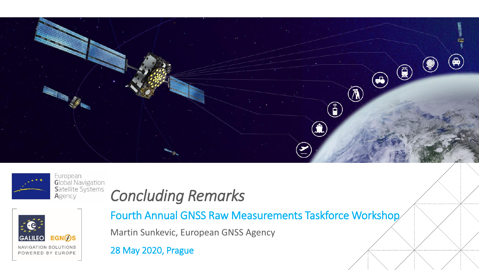



Global Navigation Satellite Systems



### *Concluding Remarks*

Fourth Annual GNSS Raw Measurements Taskforce Workshop

Martin Sunkevic, European GNSS Agency

28 May 2020, Prague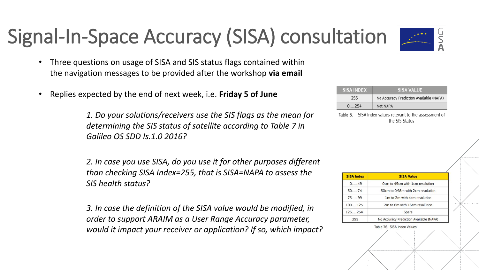# Signal-In-Space Accuracy (SISA) consultation



- Three questions on usage of SISA and SIS status flags contained within the navigation messages to be provided after the workshop **via email**
- Replies expected by the end of next week, i.e. **Friday 5 of June**

*1. Do your solutions/receivers use the SIS flags as the mean for determining the SIS status of satellite according to Table 7 in Galileo OS SDD Is.1.0 2016?*

*2. In case you use SISA, do you use it for other purposes different than checking SISA Index=255, that is SISA=NAPA to assess the SIS health status?*

*3. In case the definition of the SISA value would be modified, in order to support ARAIM as a User Range Accuracy parameter, would it impact your receiver or application? If so, which impact?*

| <b>SISA INDEX</b> | <b>SISA VALUE</b>                       |
|-------------------|-----------------------------------------|
| 255               | No Accuracy Prediction Available (NAPA) |
| 0 254             | Not NAPA                                |

Table 5. SISA Index values relevant to the assessment of the SIS Status

| <b>SISA Index</b> | <b>SISA Value</b>                       |
|-------------------|-----------------------------------------|
| 0.49              | Ocm to 49cm with 1cm resolution         |
| $50 - 74$         | 50cm to 0.98m with 2cm resolution       |
| 75 99             | 1m to 2m with 4cm resolution            |
| 100 125           | 2m to 6m with 16cm resolution           |
| 126 254           | Spare                                   |
| 255               | No Accuracy Prediction Available (NAPA) |
|                   | Table 76. SISA Index Values             |
|                   |                                         |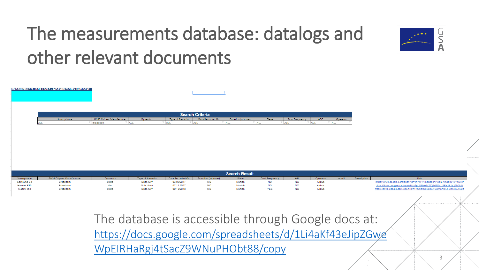### The measurements database: datalogs and other relevant documents



The database is accessible through Google docs at: [https://docs.google.com/spreadsheets/d/1Li4aKf43eJipZGwe](https://docs.google.com/spreadsheets/d/1Li4aKf43eJipZGweWpEIRHaRgj4tSacZ9WNuPHObt88/copy) WpEIRHaRgj4tSacZ9WNuPHObt88/copy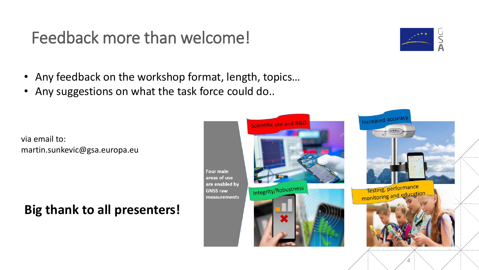### Feedback more than welcome!

- Any feedback on the workshop format, length, topics…
- Any suggestions on what the task force could do..

via email to: martin.sunkevic@gsa.europa.eu

#### **Big thank to all presenters!**





4